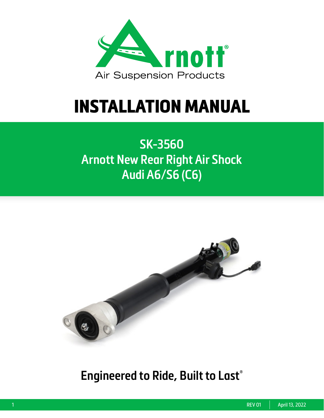

# INSTALLATION MANUAL

## **SK-3560 Arnott New Rear Right Air Shock Audi A6/S6 (C6)**



### **Engineered to Ride, Built to Last®**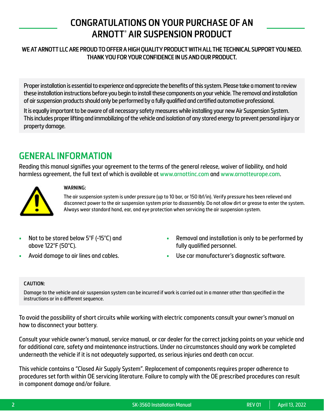### **CONGRATULATIONS ON YOUR PURCHASE OF AN ARNOTT® AIR SUSPENSION PRODUCT**

#### **WE AT ARNOTT LLC ARE PROUD TO OFFER A HIGH QUALITY PRODUCT WITH ALL THE TECHNICAL SUPPORT YOU NEED. THANK YOU FOR YOUR CONFIDENCE IN US AND OUR PRODUCT.**

Proper installation is essential to experience and appreciate the benefits of this system. Please take a moment to review these installation instructions before you begin to install these components on your vehicle. The removal and installation of air suspension products should only be performed by a fully qualified and certified automotive professional.

It is equally important to be aware of all necessary safety measures while installing your new Air Suspension System. This includes proper lifting and immobilizing of the vehicle and isolation of any stored energy to prevent personal injury or property damage.

### **GENERAL INFORMATION**

Reading this manual signifies your agreement to the terms of the general release, waiver of liability, and hold harmless agreement, the full text of which is available at [www.arnottinc.com](https://www.arnottinc.com) and [www.arnotteurope.com](https://www.arnotteurope.com).



#### **WARNING:**

The air suspension system is under pressure (up to 10 bar, or 150 lbf/in). Verify pressure has been relieved and disconnect power to the air suspension system prior to disassembly. Do not allow dirt or grease to enter the system. Always wear standard hand, ear, and eye protection when servicing the air suspension system.

- Not to be stored below 5°F (-15°C) and above 122°F (50°C).
- Avoid damage to air lines and cables.
- Removal and installation is only to be performed by fully qualified personnel.
- Use car manufacturer's diagnostic software.

#### **CAUTION:**

Damage to the vehicle and air suspension system can be incurred if work is carried out in a manner other than specified in the instructions or in a different sequence.

To avoid the possibility of short circuits while working with electric components consult your owner's manual on how to disconnect your battery.

Consult your vehicle owner's manual, service manual, or car dealer for the correct jacking points on your vehicle and for additional care, safety and maintenance instructions. Under no circumstances should any work be completed underneath the vehicle if it is not adequately supported, as serious injuries and death can occur.

This vehicle contains a "Closed Air Supply System". Replacement of components requires proper adherence to procedures set forth within OE servicing literature. Failure to comply with the OE prescribed procedures can result in component damage and/or failure.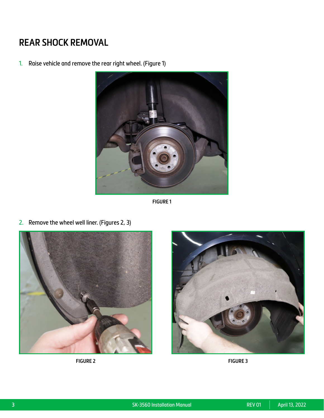### **REAR SHOCK REMOVAL**

1. Raise vehicle and remove the rear right wheel. (Figure 1)



**FIGURE 1**

2. Remove the wheel well liner. (Figures 2, 3)





**FIGURE 2 FIGURE 3**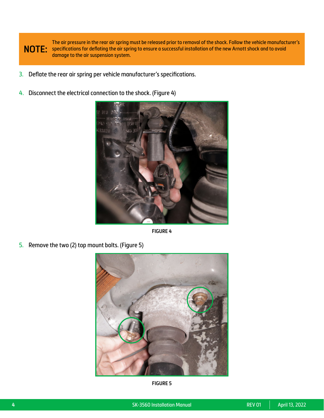

The air pressure in the rear air spring must be released prior to removal of the shock. Follow the vehicle manufacturer's specifications for deflating the air spring to ensure a successful installation of the new Arnott shock and to avoid damage to the air suspension system.

- 3. Deflate the rear air spring per vehicle manufacturer's specifications.
- 4. Disconnect the electrical connection to the shock. (Figure 4)



**FIGURE 4**

5. Remove the two (2) top mount bolts. (Figure 5)



**FIGURE 5**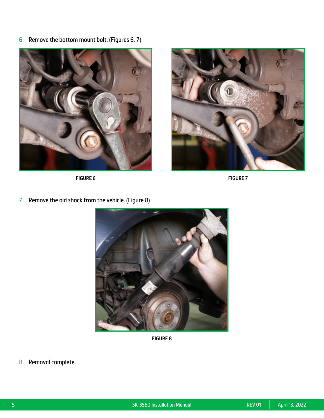6. Remove the bottom mount bolt. (Figures 6, 7)



**FIGURE 6 FIGURE 7**



7. Remove the old shock from the vehicle. (Figure 8)



**FIGURE 8**

8. Removal complete.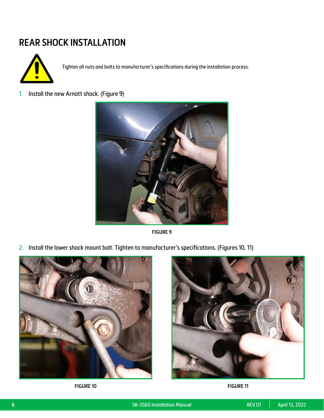### **REAR SHOCK INSTALLATION**



Tighten all nuts and bolts to manufacturer's specifications during the installation process.

1. Install the new Arnott shock. (Figure 9)



**FIGURE 9**

2. Install the lower shock mount bolt. Tighten to manufacturer's specifications. (Figures 10, 11)





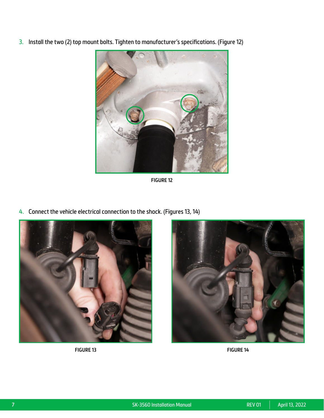3. Install the two (2) top mount bolts. Tighten to manufacturer's specifications. (Figure 12)



**FIGURE 12**

4. Connect the vehicle electrical connection to the shock. (Figures 13, 14)





**FIGURE 13 FIGURE 14**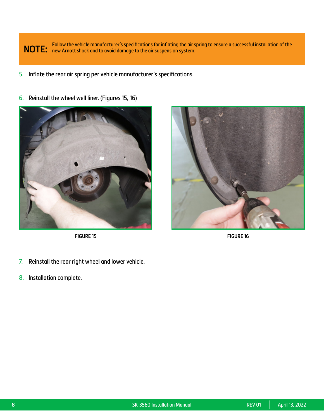**NOTE:** Follow the vehicle manufacturer's specifications for inflating the air spring to ensure a successful installation of the **NOTE:** new Arnott shock and to avoid damage to the air suspension system.

5. Inflate the rear air spring per vehicle manufacturer's specifications.



6. Reinstall the wheel well liner. (Figures 15, 16)

**FIGURE 15 FIGURE 16**



- 7. Reinstall the rear right wheel and lower vehicle.
- 8. Installation complete.